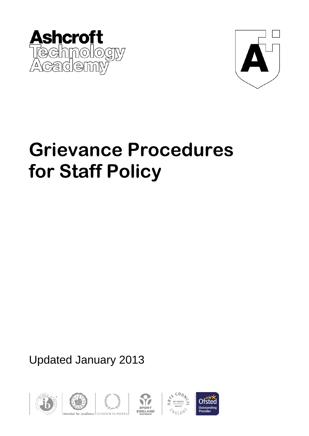



# **Grievance Procedures for Staff Policy**

Updated January 2013









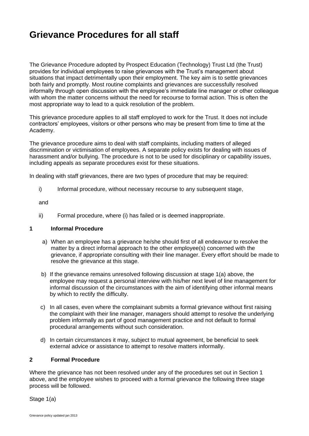# **Grievance Procedures for all staff**

The Grievance Procedure adopted by Prospect Education (Technology) Trust Ltd (the Trust) provides for individual employees to raise grievances with the Trust's management about situations that impact detrimentally upon their employment. The key aim is to settle grievances both fairly and promptly. Most routine complaints and grievances are successfully resolved informally through open discussion with the employee's immediate line manager or other colleague with whom the matter concerns without the need for recourse to formal action. This is often the most appropriate way to lead to a quick resolution of the problem.

This grievance procedure applies to all staff employed to work for the Trust. It does not include contractors' employees, visitors or other persons who may be present from time to time at the Academy.

The grievance procedure aims to deal with staff complaints, including matters of alleged discrimination or victimisation of employees. A separate policy exists for dealing with issues of harassment and/or bullying. The procedure is not to be used for disciplinary or capability issues, including appeals as separate procedures exist for these situations.

In dealing with staff grievances, there are two types of procedure that may be required:

i) Informal procedure, without necessary recourse to any subsequent stage,

and

ii) Formal procedure, where (i) has failed or is deemed inappropriate.

#### **1 Informal Procedure**

- a) When an employee has a grievance he/she should first of all endeavour to resolve the matter by a direct informal approach to the other employee(s) concerned with the grievance, if appropriate consulting with their line manager. Every effort should be made to resolve the grievance at this stage.
- b) If the grievance remains unresolved following discussion at stage 1(a) above, the employee may request a personal interview with his/her next level of line management for informal discussion of the circumstances with the aim of identifying other informal means by which to rectify the difficulty.
- c) In all cases, even where the complainant submits a formal grievance without first raising the complaint with their line manager, managers should attempt to resolve the underlying problem informally as part of good management practice and not default to formal procedural arrangements without such consideration.
- d) In certain circumstances it may, subject to mutual agreement, be beneficial to seek external advice or assistance to attempt to resolve matters informally.

### **2 Formal Procedure**

Where the grievance has not been resolved under any of the procedures set out in Section 1 above, and the employee wishes to proceed with a formal grievance the following three stage process will be followed.

Stage 1(a)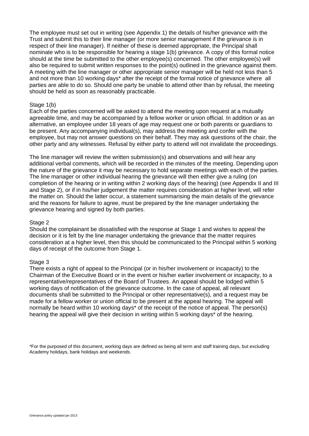The employee must set out in writing (see Appendix 1) the details of his/her grievance with the Trust and submit this to their line manager (or more senior management if the grievance is in respect of their line manager). If neither of these is deemed appropriate, the Principal shall nominate who is to be responsible for hearing a stage 1(b) grievance. A copy of this formal notice should at the time be submitted to the other employee(s) concerned. The other employee(s) will also be required to submit written responses to the point(s) outlined in the grievance against them. A meeting with the line manager or other appropriate senior manager will be held not less than 5 and not more than 10 working days\* after the receipt of the formal notice of grievance where all parties are able to do so. Should one party be unable to attend other than by refusal, the meeting should be held as soon as reasonably practicable.

#### Stage 1(b)

Each of the parties concerned will be asked to attend the meeting upon request at a mutually agreeable time, and may be accompanied by a fellow worker or union official. In addition or as an alternative, an employee under 18 years of age may request one or both parents or guardians to be present. Any accompanying individual(s), may address the meeting and confer with the employee, but may not answer questions on their behalf. They may ask questions of the chair, the other party and any witnesses. Refusal by either party to attend will not invalidate the proceedings.

The line manager will review the written submission(s) and observations and will hear any additional verbal comments, which will be recorded in the minutes of the meeting. Depending upon the nature of the grievance it may be necessary to hold separate meetings with each of the parties. The line manager or other individual hearing the grievance will then either give a ruling (on completion of the hearing or in writing within 2 working days of the hearing) (see Appendix II and III and Stage 2), or if in his/her judgement the matter requires consideration at higher level, will refer the matter on. Should the latter occur, a statement summarising the main details of the grievance and the reasons for failure to agree, must be prepared by the line manager undertaking the grievance hearing and signed by both parties.

#### Stage 2

Should the complainant be dissatisfied with the response at Stage 1 and wishes to appeal the decision or it is felt by the line manager undertaking the grievance that the matter requires consideration at a higher level, then this should be communicated to the Principal within 5 working days of receipt of the outcome from Stage 1.

#### Stage 3

There exists a right of appeal to the Principal (or in his/her involvement or incapacity) to the Chairman of the Executive Board or in the event or his/her earlier involvement or incapacity, to a representative/representatives of the Board of Trustees. An appeal should be lodged within 5 working days of notification of the grievance outcome. In the case of appeal, all relevant documents shall be submitted to the Principal or other representative(s), and a request may be made for a fellow worker or union official to be present at the appeal hearing. The appeal will normally be heard within 10 working days\* of the receipt of the notice of appeal. The person(s) hearing the appeal will give their decision in writing within 5 working days\* of the hearing.

\*For the purposed of this document, working days are defined as being all term and staff training days, but excluding Academy holidays, bank holidays and weekends.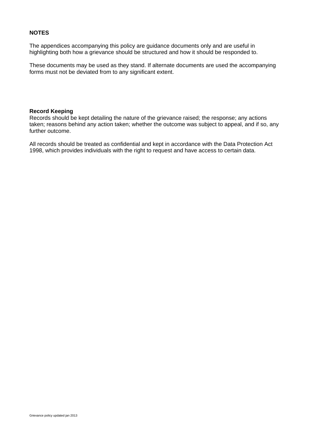### **NOTES**

The appendices accompanying this policy are guidance documents only and are useful in highlighting both how a grievance should be structured and how it should be responded to.

These documents may be used as they stand. If alternate documents are used the accompanying forms must not be deviated from to any significant extent.

### **Record Keeping**

Records should be kept detailing the nature of the grievance raised; the response; any actions taken; reasons behind any action taken; whether the outcome was subject to appeal, and if so, any further outcome.

All records should be treated as confidential and kept in accordance with the Data Protection Act 1998, which provides individuals with the right to request and have access to certain data.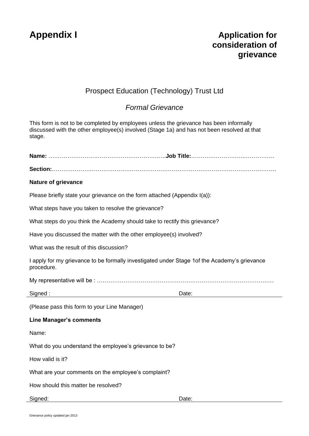# **Appendix I Application for consideration of grievance**

## Prospect Education (Technology) Trust Ltd

### *Formal Grievance*

This form is not to be completed by employees unless the grievance has been informally discussed with the other employee(s) involved (Stage 1a) and has not been resolved at that stage.

| <b>Nature of grievance</b>                                                                                  |       |  |
|-------------------------------------------------------------------------------------------------------------|-------|--|
| Please briefly state your grievance on the form attached (Appendix I(a)):                                   |       |  |
| What steps have you taken to resolve the grievance?                                                         |       |  |
| What steps do you think the Academy should take to rectify this grievance?                                  |       |  |
| Have you discussed the matter with the other employee(s) involved?                                          |       |  |
| What was the result of this discussion?                                                                     |       |  |
| I apply for my grievance to be formally investigated under Stage 1 of the Academy's grievance<br>procedure. |       |  |
|                                                                                                             |       |  |
| Signed:                                                                                                     | Date: |  |
| (Please pass this form to your Line Manager)                                                                |       |  |
| <b>Line Manager's comments</b>                                                                              |       |  |
| Name:                                                                                                       |       |  |
| What do you understand the employee's grievance to be?                                                      |       |  |
| How valid is it?                                                                                            |       |  |
| What are your comments on the employee's complaint?                                                         |       |  |
| How should this matter be resolved?                                                                         |       |  |
| Signed:                                                                                                     | Date: |  |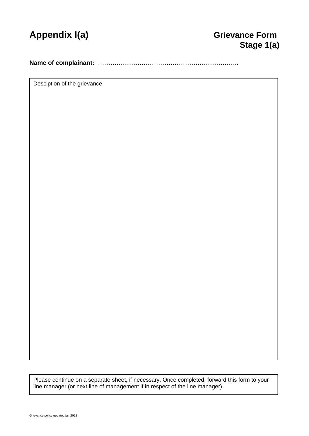

**Name of complainant:** …………………………………………………………..

Desciption of the grievance

Please continue on a separate sheet, if necessary. Once completed, forward this form to your line manager (or next line of management if in respect of the line manager).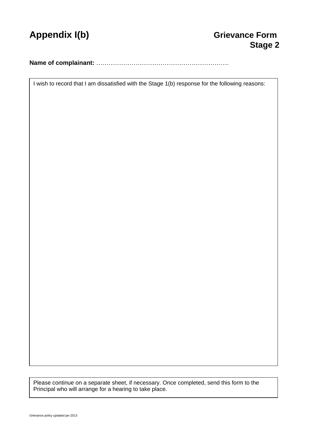

**Name of complainant:** ……………………………………………………….

I wish to record that I am dissatisfied with the Stage 1(b) response for the following reasons:

Please continue on a separate sheet, if necessary. Once completed, send this form to the Principal who will arrange for a hearing to take place.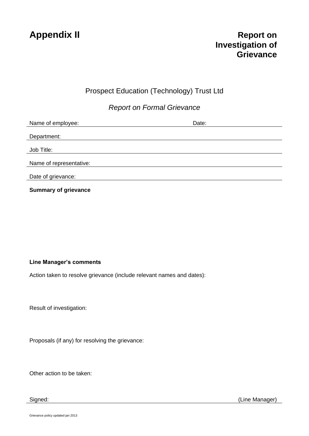### Prospect Education (Technology) Trust Ltd

*Report on Formal Grievance*

| Name of employee:       | Date: |
|-------------------------|-------|
|                         |       |
| Department:             |       |
|                         |       |
| Job Title:              |       |
|                         |       |
| Name of representative: |       |
|                         |       |
| Date of grievance:      |       |
|                         |       |

**Summary of grievance**

### **Line Manager's comments**

Action taken to resolve grievance (include relevant names and dates):

Result of investigation:

Proposals (if any) for resolving the grievance:

Other action to be taken:

Signed: (Line Manager)

Grievance policy updated jan 2013